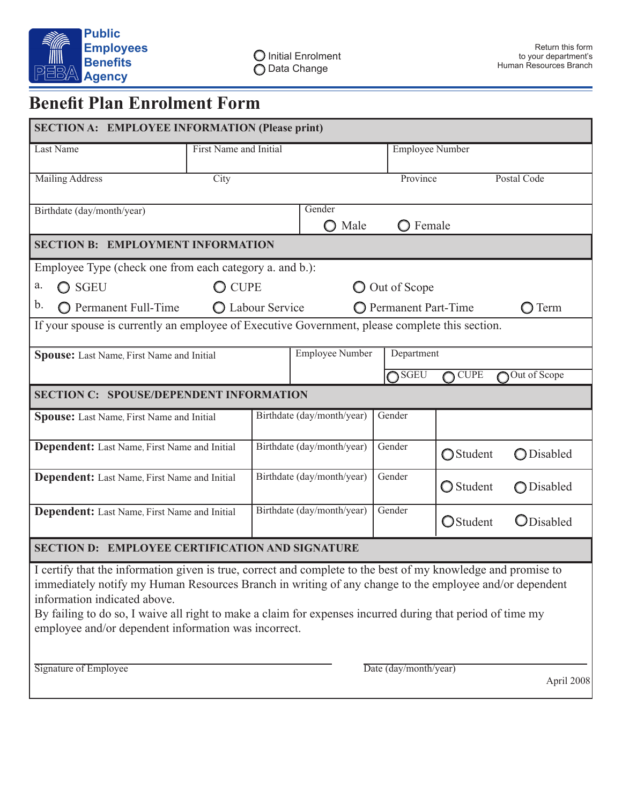

# **Benefit Plan Enrolment Form**

| <b>SECTION A: EMPLOYEE INFORMATION (Please print)</b>                                                                                                                                                                                                                                                                                                                                                                                                                           |                        |  |                            |                   |                                                 |                   |  |
|---------------------------------------------------------------------------------------------------------------------------------------------------------------------------------------------------------------------------------------------------------------------------------------------------------------------------------------------------------------------------------------------------------------------------------------------------------------------------------|------------------------|--|----------------------------|-------------------|-------------------------------------------------|-------------------|--|
| Last Name                                                                                                                                                                                                                                                                                                                                                                                                                                                                       | First Name and Initial |  |                            |                   | <b>Employee Number</b>                          |                   |  |
| <b>Mailing Address</b>                                                                                                                                                                                                                                                                                                                                                                                                                                                          | City                   |  |                            | Province          |                                                 | Postal Code       |  |
|                                                                                                                                                                                                                                                                                                                                                                                                                                                                                 |                        |  | Gender                     |                   |                                                 |                   |  |
| Birthdate (day/month/year)                                                                                                                                                                                                                                                                                                                                                                                                                                                      |                        |  | $\bigcirc$ Male            | $\bigcirc$ Female |                                                 |                   |  |
| <b>SECTION B: EMPLOYMENT INFORMATION</b>                                                                                                                                                                                                                                                                                                                                                                                                                                        |                        |  |                            |                   |                                                 |                   |  |
| Employee Type (check one from each category a. and b.):                                                                                                                                                                                                                                                                                                                                                                                                                         |                        |  |                            |                   |                                                 |                   |  |
| a.<br>$\bigcirc$ SGEU                                                                                                                                                                                                                                                                                                                                                                                                                                                           | $\bigcirc$ cupe        |  |                            |                   | O Out of Scope                                  |                   |  |
| b.<br><b>O</b> Permanent Full-Time<br>◯ Labour Service                                                                                                                                                                                                                                                                                                                                                                                                                          |                        |  |                            |                   | <b>O</b> Permanent Part-Time<br>$\bigcirc$ Term |                   |  |
| If your spouse is currently an employee of Executive Government, please complete this section.                                                                                                                                                                                                                                                                                                                                                                                  |                        |  |                            |                   |                                                 |                   |  |
| Spouse: Last Name, First Name and Initial                                                                                                                                                                                                                                                                                                                                                                                                                                       |                        |  | <b>Employee Number</b>     |                   | Department                                      |                   |  |
|                                                                                                                                                                                                                                                                                                                                                                                                                                                                                 |                        |  |                            | $\bigcap$ SGEU    | <b>CUPE</b>                                     | Out of Scope      |  |
| <b>SECTION C: SPOUSE/DEPENDENT INFORMATION</b>                                                                                                                                                                                                                                                                                                                                                                                                                                  |                        |  |                            |                   |                                                 |                   |  |
| Spouse: Last Name, First Name and Initial                                                                                                                                                                                                                                                                                                                                                                                                                                       |                        |  | Birthdate (day/month/year) | Gender            |                                                 |                   |  |
| <b>Dependent:</b> Last Name, First Name and Initial                                                                                                                                                                                                                                                                                                                                                                                                                             |                        |  | Birthdate (day/month/year) | Gender            | ◯ Student                                       | <b>O</b> Disabled |  |
| Dependent: Last Name, First Name and Initial                                                                                                                                                                                                                                                                                                                                                                                                                                    |                        |  | Birthdate (day/month/year) | Gender            | ◯ Student                                       | ◯ Disabled        |  |
| Dependent: Last Name, First Name and Initial                                                                                                                                                                                                                                                                                                                                                                                                                                    |                        |  | Birthdate (day/month/year) | Gender            | <b>O</b> Student                                | ODisabled         |  |
| <b>SECTION D: EMPLOYEE CERTIFICATION AND SIGNATURE</b>                                                                                                                                                                                                                                                                                                                                                                                                                          |                        |  |                            |                   |                                                 |                   |  |
| I certify that the information given is true, correct and complete to the best of my knowledge and promise to<br>immediately notify my Human Resources Branch in writing of any change to the employee and/or dependent<br>information indicated above.<br>By failing to do so, I waive all right to make a claim for expenses incurred during that period of time my<br>employee and/or dependent information was incorrect.<br>Date (day/month/year)<br>Signature of Employee |                        |  |                            |                   |                                                 |                   |  |
|                                                                                                                                                                                                                                                                                                                                                                                                                                                                                 |                        |  |                            |                   |                                                 | April 2008        |  |